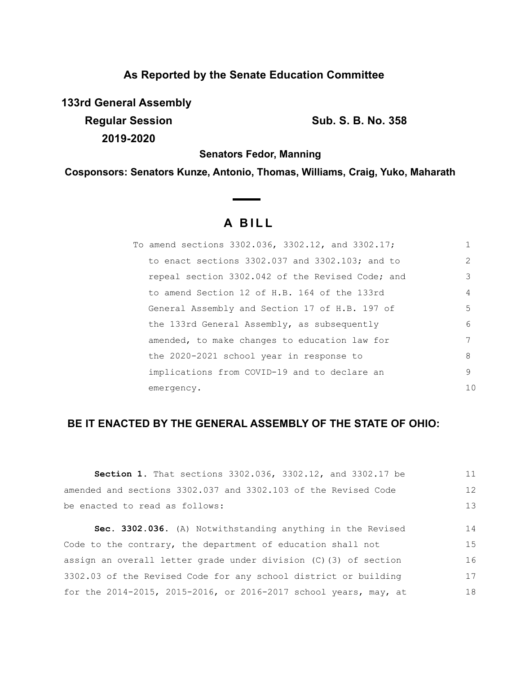# **As Reported by the Senate Education Committee**

**133rd General Assembly Regular Session Sub. S. B. No. 358** 

**2019-2020**

**Senators Fedor, Manning**

**Cosponsors: Senators Kunze, Antonio, Thomas, Williams, Craig, Yuko, Maharath**

# **A B I L L**

 $\sim$ 

| To amend sections 3302.036, 3302.12, and 3302.17;    | 1  |
|------------------------------------------------------|----|
| to enact sections $3302.037$ and $3302.103$ ; and to | 2  |
| repeal section 3302.042 of the Revised Code; and     | 3  |
| to amend Section 12 of H.B. 164 of the 133rd         | 4  |
| General Assembly and Section 17 of H.B. 197 of       | 5  |
| the 133rd General Assembly, as subsequently          | 6  |
| amended, to make changes to education law for        | 7  |
| the 2020-2021 school year in response to             | 8  |
| implications from COVID-19 and to declare an         | 9  |
| emergency.                                           | 10 |

# **BE IT ENACTED BY THE GENERAL ASSEMBLY OF THE STATE OF OHIO:**

| <b>Section 1.</b> That sections 3302.036, 3302.12, and 3302.17 be  | 11 |
|--------------------------------------------------------------------|----|
| amended and sections 3302.037 and 3302.103 of the Revised Code     | 12 |
| be enacted to read as follows:                                     | 13 |
|                                                                    |    |
| Sec. 3302.036. (A) Notwithstanding anything in the Revised         | 14 |
| Code to the contrary, the department of education shall not        | 15 |
| assign an overall letter grade under division $(C)$ (3) of section | 16 |
| 3302.03 of the Revised Code for any school district or building    | 17 |
| for the 2014-2015, 2015-2016, or 2016-2017 school years, may, at   | 18 |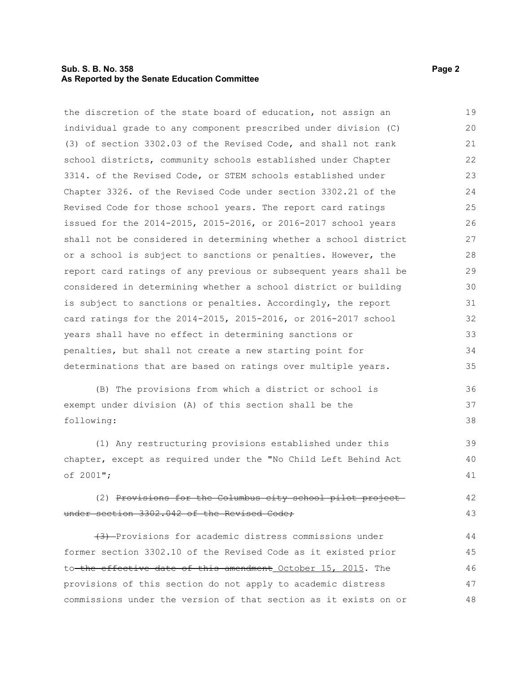#### **Sub. S. B. No. 358 Page 2 As Reported by the Senate Education Committee**

the discretion of the state board of education, not assign an individual grade to any component prescribed under division (C) (3) of section 3302.03 of the Revised Code, and shall not rank school districts, community schools established under Chapter 3314. of the Revised Code, or STEM schools established under Chapter 3326. of the Revised Code under section 3302.21 of the Revised Code for those school years. The report card ratings issued for the 2014-2015, 2015-2016, or 2016-2017 school years shall not be considered in determining whether a school district or a school is subject to sanctions or penalties. However, the report card ratings of any previous or subsequent years shall be considered in determining whether a school district or building is subject to sanctions or penalties. Accordingly, the report card ratings for the 2014-2015, 2015-2016, or 2016-2017 school years shall have no effect in determining sanctions or penalties, but shall not create a new starting point for determinations that are based on ratings over multiple years. 19 20 21 22 23 24 25 26 27 28 29 30 31 32 33 34 35

(B) The provisions from which a district or school is exempt under division (A) of this section shall be the following:

(1) Any restructuring provisions established under this chapter, except as required under the "No Child Left Behind Act of 2001"; 39 40 41

#### (2) Provisions for the Columbus city school pilot project under section 3302.042 of the Revised Code; 42 43

(3) Provisions for academic distress commissions under former section 3302.10 of the Revised Code as it existed prior to the effective date of this amendment October 15, 2015. The provisions of this section do not apply to academic distress commissions under the version of that section as it exists on or 44 45 46 47 48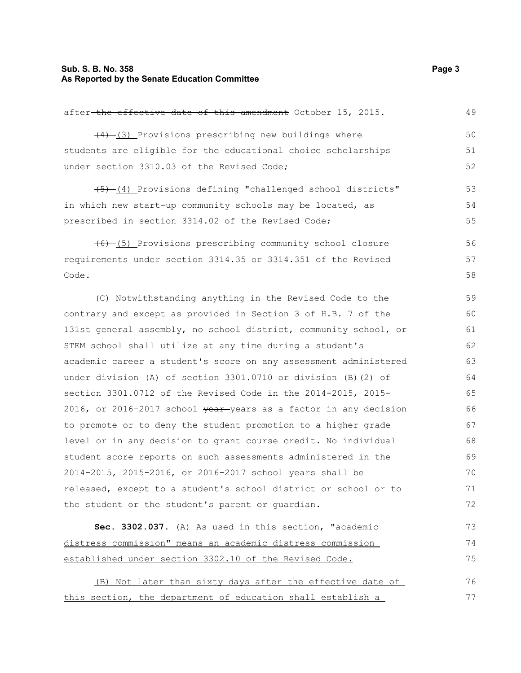# **Sub. S. B. No. 358** Page 3 **As Reported by the Senate Education Committee**

| after-the effective date of this amendment October 15, 2015.     | 49 |
|------------------------------------------------------------------|----|
| $(4)$ $(3)$ Provisions prescribing new buildings where           | 50 |
| students are eligible for the educational choice scholarships    | 51 |
| under section 3310.03 of the Revised Code;                       | 52 |
| (4) Provisions defining "challenged school districts"            | 53 |
| in which new start-up community schools may be located, as       | 54 |
| prescribed in section 3314.02 of the Revised Code;               | 55 |
| (6) (5) Provisions prescribing community school closure          | 56 |
| requirements under section 3314.35 or 3314.351 of the Revised    | 57 |
| Code.                                                            | 58 |
| (C) Notwithstanding anything in the Revised Code to the          | 59 |
| contrary and except as provided in Section 3 of H.B. 7 of the    | 60 |
| 131st general assembly, no school district, community school, or | 61 |
| STEM school shall utilize at any time during a student's         | 62 |
| academic career a student's score on any assessment administered | 63 |
| under division (A) of section 3301.0710 or division (B) (2) of   | 64 |
| section 3301.0712 of the Revised Code in the 2014-2015, 2015-    | 65 |
| 2016, or 2016-2017 school vear-years as a factor in any decision | 66 |
| to promote or to deny the student promotion to a higher grade    | 67 |
| level or in any decision to grant course credit. No individual   | 68 |
| student score reports on such assessments administered in the    | 69 |
| 2014-2015, 2015-2016, or 2016-2017 school years shall be         | 70 |
| released, except to a student's school district or school or to  | 71 |
| the student or the student's parent or quardian.                 | 72 |
| Sec. 3302.037. (A) As used in this section, "academic            | 73 |
| distress commission" means an academic distress commission       | 74 |
| established under section 3302.10 of the Revised Code.           | 75 |
| (B) Not later than sixty days after the effective date of        | 76 |
| this section, the department of education shall establish a      | 77 |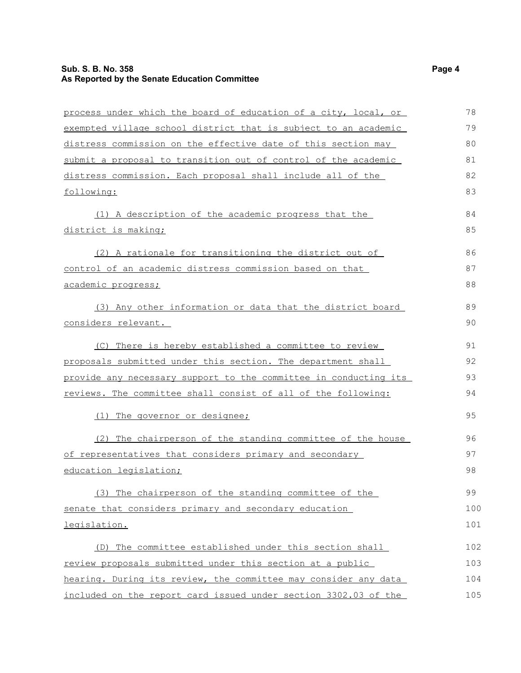# **Sub. S. B. No. 358** Page 4 **As Reported by the Senate Education Committee**

| process under which the board of education of a city, local, or  | 78  |
|------------------------------------------------------------------|-----|
| exempted village school district that is subject to an academic  | 79  |
| distress commission on the effective date of this section may    | 80  |
| submit a proposal to transition out of control of the academic   | 81  |
| distress commission. Each proposal shall include all of the      | 82  |
| following:                                                       | 83  |
| (1) A description of the academic progress that the              | 84  |
| district is making;                                              | 85  |
| (2) A rationale for transitioning the district out of            | 86  |
| control of an academic distress commission based on that         | 87  |
| <u>academic progress;</u>                                        | 88  |
| (3) Any other information or data that the district board        | 89  |
| considers relevant.                                              | 90  |
| (C) There is hereby established a committee to review            | 91  |
| proposals submitted under this section. The department shall     | 92  |
| provide any necessary support to the committee in conducting its | 93  |
| reviews. The committee shall consist of all of the following:    | 94  |
| (1) The governor or designee;                                    | 95  |
| (2) The chairperson of the standing committee of the house       | 96  |
| of representatives that considers primary and secondary          | 97  |
| education legislation;                                           | 98  |
| (3) The chairperson of the standing committee of the             | 99  |
| senate that considers primary and secondary education            | 100 |
| legislation.                                                     | 101 |
| (D) The committee established under this section shall           | 102 |
| review proposals submitted under this section at a public        | 103 |
| hearing. During its review, the committee may consider any data  | 104 |
| included on the report card issued under section 3302.03 of the  | 105 |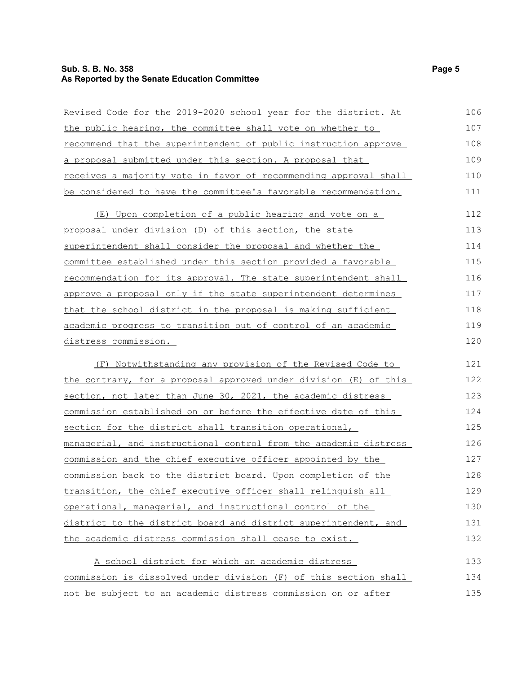# **Sub. S. B. No. 358** Page 5 **As Reported by the Senate Education Committee**

| Revised Code for the 2019-2020 school year for the district. At         | 106 |
|-------------------------------------------------------------------------|-----|
| the public hearing, the committee shall vote on whether to              | 107 |
| <u>recommend</u> that the superintendent of public instruction approve  | 108 |
| a proposal submitted under this section. A proposal that                | 109 |
| receives a majority vote in favor of recommending approval shall        | 110 |
| be considered to have the committee's favorable recommendation.         | 111 |
| (E) Upon completion of a public hearing and vote on a                   | 112 |
| proposal under division (D) of this section, the state                  | 113 |
| superintendent shall consider the proposal and whether the              | 114 |
| committee established under this section provided a favorable           | 115 |
| recommendation for its approval. The state superintendent shall         | 116 |
| approve a proposal only if the state superintendent determines          | 117 |
| <u>that the school district in the proposal is making sufficient</u>    | 118 |
| academic progress to transition out of control of an academic           | 119 |
| distress commission.                                                    | 120 |
| <u>(F) Notwithstanding any provision of the Revised Code to </u>        | 121 |
| the contrary, for a proposal approved under division (E) of this        | 122 |
| section, not later than June 30, 2021, the academic distress            | 123 |
| commission established on or before the effective date of this          | 124 |
| section for the district shall transition operational,                  | 125 |
| <u>managerial, and instructional control from the academic distress</u> | 126 |
| commission and the chief executive officer appointed by the             | 127 |
| commission back to the district board. Upon completion of the           | 128 |
| transition, the chief executive officer shall relinquish all            | 129 |
| operational, managerial, and instructional control of the               | 130 |
| district to the district board and district superintendent, and         | 131 |
| the academic distress commission shall cease to exist.                  | 132 |
| A school district for which an academic distress                        | 133 |
| commission is dissolved under division (F) of this section shall        | 134 |
| not be subject to an academic distress commission on or after           | 135 |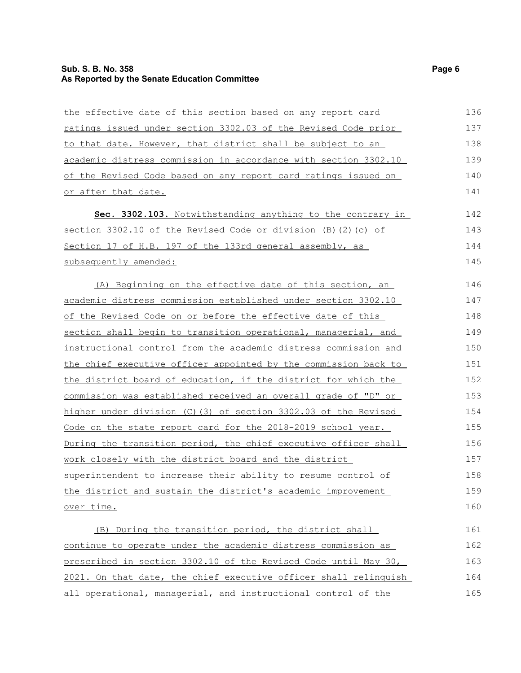# **Sub. S. B. No. 358** Page 6 **As Reported by the Senate Education Committee**

| the effective date of this section based on any report card            | 136 |
|------------------------------------------------------------------------|-----|
| ratings issued under section 3302.03 of the Revised Code prior         | 137 |
| to that date. However, that district shall be subject to an            | 138 |
| academic distress commission in accordance with section 3302.10        | 139 |
| of the Revised Code based on any report card ratings issued on         | 140 |
| or after that date.                                                    | 141 |
| Sec. 3302.103. Notwithstanding anything to the contrary in             | 142 |
| section 3302.10 of the Revised Code or division (B)(2)(c) of           | 143 |
| Section 17 of H.B. 197 of the 133rd general assembly, as               | 144 |
| subsequently amended:                                                  | 145 |
| (A) Beginning on the effective date of this section, an                | 146 |
| academic distress commission established under section 3302.10         | 147 |
| of the Revised Code on or before the effective date of this            | 148 |
| section shall begin to transition operational, managerial, and         | 149 |
| instructional control from the academic distress commission and        | 150 |
| the chief executive officer appointed by the commission back to        | 151 |
| the district board of education, if the district for which the         | 152 |
| commission was established received an overall grade of "D" or         | 153 |
| higher under division (C) (3) of section 3302.03 of the Revised        | 154 |
| Code on the state report card for the 2018-2019 school year.           | 155 |
| <u>During the transition period, the chief executive officer shall</u> | 156 |
| work closely with the district board and the district                  | 157 |
| superintendent to increase their ability to resume control of          | 158 |
| the district and sustain the district's academic improvement           | 159 |
| over time.                                                             | 160 |
| (B) During the transition period, the district shall                   | 161 |
| continue to operate under the academic distress commission as          | 162 |
| prescribed in section 3302.10 of the Revised Code until May 30,        | 163 |
| 2021. On that date, the chief executive officer shall relinquish       | 164 |
| all operational, managerial, and instructional control of the          | 165 |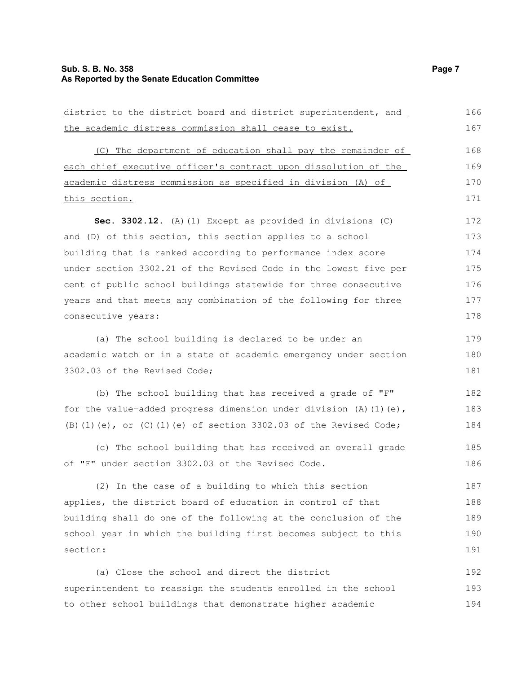# **Sub. S. B. No. 358** Page 7 **As Reported by the Senate Education Committee**

| district to the district board and district superintendent, and           | 166 |
|---------------------------------------------------------------------------|-----|
| the academic distress commission shall cease to exist.                    | 167 |
| (C) The department of education shall pay the remainder of                | 168 |
| each chief executive officer's contract upon dissolution of the           | 169 |
| academic distress commission as specified in division (A) of              | 170 |
| this section.                                                             | 171 |
| Sec. 3302.12. (A) (1) Except as provided in divisions (C)                 | 172 |
| and (D) of this section, this section applies to a school                 | 173 |
| building that is ranked according to performance index score              | 174 |
| under section 3302.21 of the Revised Code in the lowest five per          | 175 |
| cent of public school buildings statewide for three consecutive           | 176 |
| years and that meets any combination of the following for three           | 177 |
| consecutive years:                                                        | 178 |
| (a) The school building is declared to be under an                        | 179 |
| academic watch or in a state of academic emergency under section          | 180 |
| 3302.03 of the Revised Code;                                              | 181 |
| (b) The school building that has received a grade of "F"                  | 182 |
| for the value-added progress dimension under division (A) (1) (e),        | 183 |
| (B) $(1)$ (e), or $(C)$ $(1)$ (e) of section 3302.03 of the Revised Code; | 184 |
| (c) The school building that has received an overall grade                | 185 |
| of "F" under section 3302.03 of the Revised Code.                         | 186 |
| (2) In the case of a building to which this section                       | 187 |
| applies, the district board of education in control of that               | 188 |
| building shall do one of the following at the conclusion of the           | 189 |
| school year in which the building first becomes subject to this           | 190 |
| section:                                                                  | 191 |
| (a) Close the school and direct the district                              | 192 |
| superintendent to reassign the students enrolled in the school            | 193 |
| to other school buildings that demonstrate higher academic                | 194 |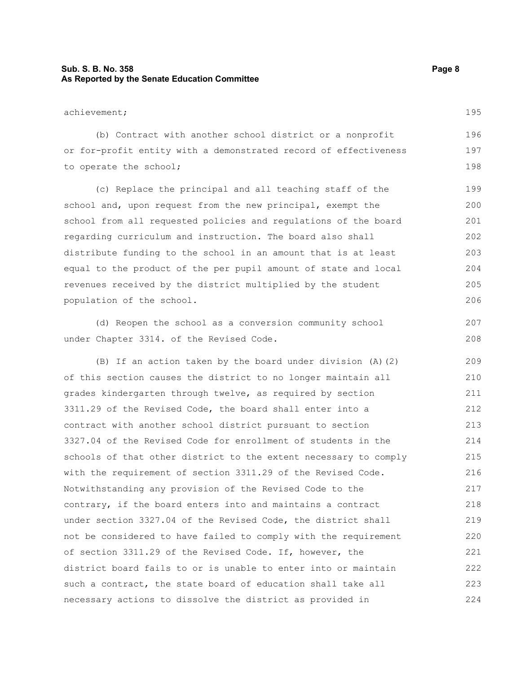### **Sub. S. B. No. 358 Page 8 As Reported by the Senate Education Committee**

#### achievement;

(b) Contract with another school district or a nonprofit or for-profit entity with a demonstrated record of effectiveness to operate the school; 196 197 198

(c) Replace the principal and all teaching staff of the school and, upon request from the new principal, exempt the school from all requested policies and regulations of the board regarding curriculum and instruction. The board also shall distribute funding to the school in an amount that is at least equal to the product of the per pupil amount of state and local revenues received by the district multiplied by the student population of the school.

(d) Reopen the school as a conversion community school under Chapter 3314. of the Revised Code.

(B) If an action taken by the board under division (A)(2) of this section causes the district to no longer maintain all grades kindergarten through twelve, as required by section 3311.29 of the Revised Code, the board shall enter into a contract with another school district pursuant to section 3327.04 of the Revised Code for enrollment of students in the schools of that other district to the extent necessary to comply with the requirement of section 3311.29 of the Revised Code. Notwithstanding any provision of the Revised Code to the contrary, if the board enters into and maintains a contract under section 3327.04 of the Revised Code, the district shall not be considered to have failed to comply with the requirement of section 3311.29 of the Revised Code. If, however, the district board fails to or is unable to enter into or maintain such a contract, the state board of education shall take all necessary actions to dissolve the district as provided in 209 210 211 212 213 214 215 216 217 218 219 220 221 222 223 224

195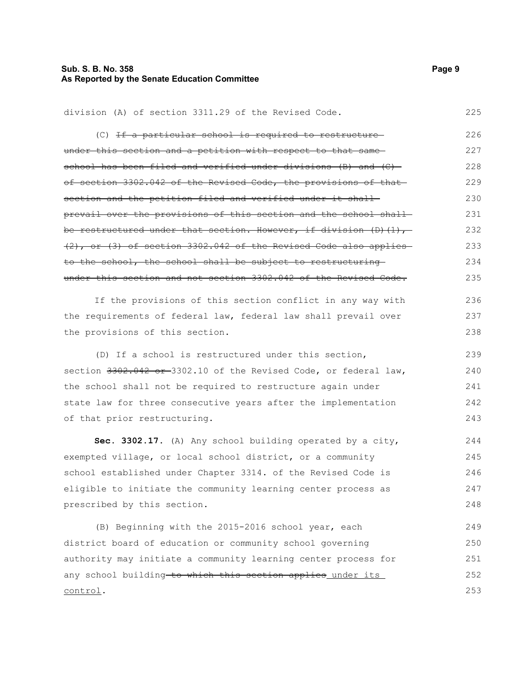### **Sub. S. B. No. 358 Page 9 As Reported by the Senate Education Committee**

#### division (A) of section 3311.29 of the Revised Code. 225

| (C) <del>If a particular school is required to restructure</del>      | 226 |
|-----------------------------------------------------------------------|-----|
| under this section and a petition with respect to that same-          | 227 |
| school has been filed and verified under divisions (B) and (C)-       | 228 |
| of section 3302.042 of the Revised Code, the provisions of that-      | 229 |
| section and the petition filed and verified under it shall-           | 230 |
| prevail over the provisions of this section and the school shall-     | 231 |
| be restructured under that section. However, if division (D)(1), -    | 232 |
| $(2)$ , or $(3)$ of section 3302.042 of the Revised Code also applies | 233 |
| to the school, the school shall be subject to restructuring-          | 234 |
| under this section and not section 3302.042 of the Revised Code.      | 235 |
| If the provisions of this section conflict in any way with            | 236 |
| the requirements of federal law, federal law shall prevail over       | 237 |
| the provisions of this section.                                       | 238 |
| (D) If a school is restructured under this section,                   | 239 |
| section 3302.042 or 3302.10 of the Revised Code, or federal law,      | 240 |
| the school shall not be required to restructure again under           | 241 |
| state law for three consecutive years after the implementation        | 242 |
| of that prior restructuring.                                          | 243 |
|                                                                       |     |

**Sec. 3302.17.** (A) Any school building operated by a city, exempted village, or local school district, or a community school established under Chapter 3314. of the Revised Code is eligible to initiate the community learning center process as prescribed by this section. 244 245 246 247 248

(B) Beginning with the 2015-2016 school year, each district board of education or community school governing authority may initiate a community learning center process for any school building to which this section applies under its control. 249 250 251 252 253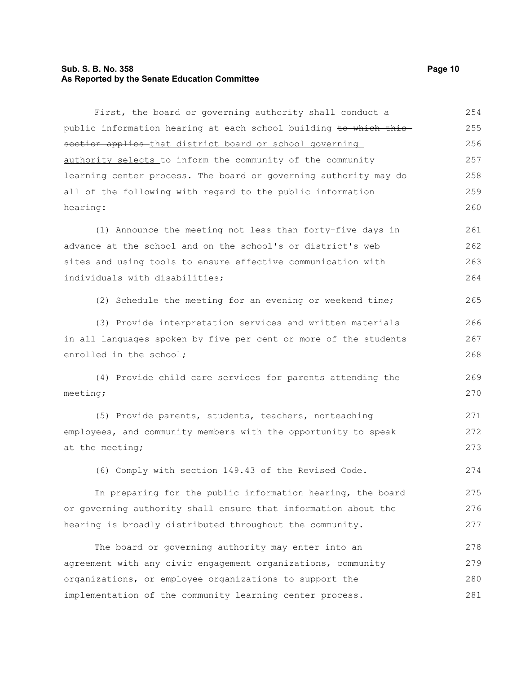#### **Sub. S. B. No. 358 Page 10 As Reported by the Senate Education Committee**

First, the board or governing authority shall conduct a public information hearing at each school building to which this section applies that district board or school governing authority selects to inform the community of the community learning center process. The board or governing authority may do all of the following with regard to the public information hearing: (1) Announce the meeting not less than forty-five days in advance at the school and on the school's or district's web sites and using tools to ensure effective communication with individuals with disabilities; (2) Schedule the meeting for an evening or weekend time; (3) Provide interpretation services and written materials in all languages spoken by five per cent or more of the students enrolled in the school; (4) Provide child care services for parents attending the meeting; (5) Provide parents, students, teachers, nonteaching employees, and community members with the opportunity to speak at the meeting; (6) Comply with section 149.43 of the Revised Code. In preparing for the public information hearing, the board or governing authority shall ensure that information about the hearing is broadly distributed throughout the community. The board or governing authority may enter into an agreement with any civic engagement organizations, community organizations, or employee organizations to support the 254 255 256 257 258 259 260 261 262 263 264 265 266 267 268 269 270 271 272 273 274 275 276 277 278 279 280

281

implementation of the community learning center process.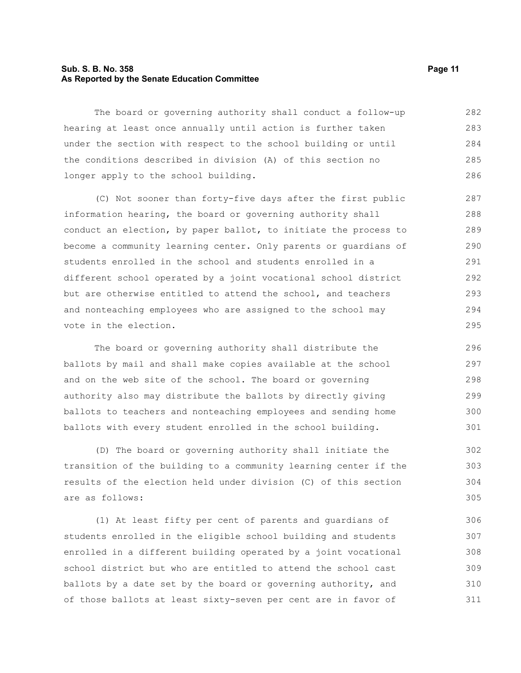#### **Sub. S. B. No. 358 Page 11 As Reported by the Senate Education Committee**

The board or governing authority shall conduct a follow-up hearing at least once annually until action is further taken under the section with respect to the school building or until the conditions described in division (A) of this section no longer apply to the school building. 282 283 284 285 286

(C) Not sooner than forty-five days after the first public information hearing, the board or governing authority shall conduct an election, by paper ballot, to initiate the process to become a community learning center. Only parents or guardians of students enrolled in the school and students enrolled in a different school operated by a joint vocational school district but are otherwise entitled to attend the school, and teachers and nonteaching employees who are assigned to the school may vote in the election.

The board or governing authority shall distribute the ballots by mail and shall make copies available at the school and on the web site of the school. The board or governing authority also may distribute the ballots by directly giving ballots to teachers and nonteaching employees and sending home ballots with every student enrolled in the school building.

(D) The board or governing authority shall initiate the transition of the building to a community learning center if the results of the election held under division (C) of this section are as follows:

(1) At least fifty per cent of parents and guardians of students enrolled in the eligible school building and students enrolled in a different building operated by a joint vocational school district but who are entitled to attend the school cast ballots by a date set by the board or governing authority, and of those ballots at least sixty-seven per cent are in favor of 306 307 308 309 310 311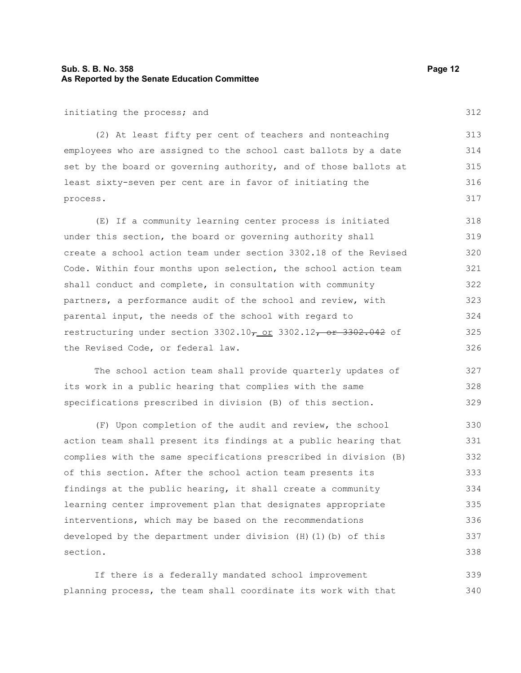### **Sub. S. B. No. 358 Page 12 As Reported by the Senate Education Committee**

#### initiating the process; and

(2) At least fifty per cent of teachers and nonteaching employees who are assigned to the school cast ballots by a date set by the board or governing authority, and of those ballots at least sixty-seven per cent are in favor of initiating the process. 313 314 315 316 317

(E) If a community learning center process is initiated under this section, the board or governing authority shall create a school action team under section 3302.18 of the Revised Code. Within four months upon selection, the school action team shall conduct and complete, in consultation with community partners, a performance audit of the school and review, with parental input, the needs of the school with regard to restructuring under section  $3302.10<sub>7</sub>$  or  $3302.12<sub>7</sub>$  or  $3302.042$  of the Revised Code, or federal law. 318 319 320 321 322 323 324 325 326

The school action team shall provide quarterly updates of its work in a public hearing that complies with the same specifications prescribed in division (B) of this section. 327 328 329

(F) Upon completion of the audit and review, the school action team shall present its findings at a public hearing that complies with the same specifications prescribed in division (B) of this section. After the school action team presents its findings at the public hearing, it shall create a community learning center improvement plan that designates appropriate interventions, which may be based on the recommendations developed by the department under division (H)(1)(b) of this section. 330 331 332 333 334 335 336 337 338

If there is a federally mandated school improvement planning process, the team shall coordinate its work with that 339 340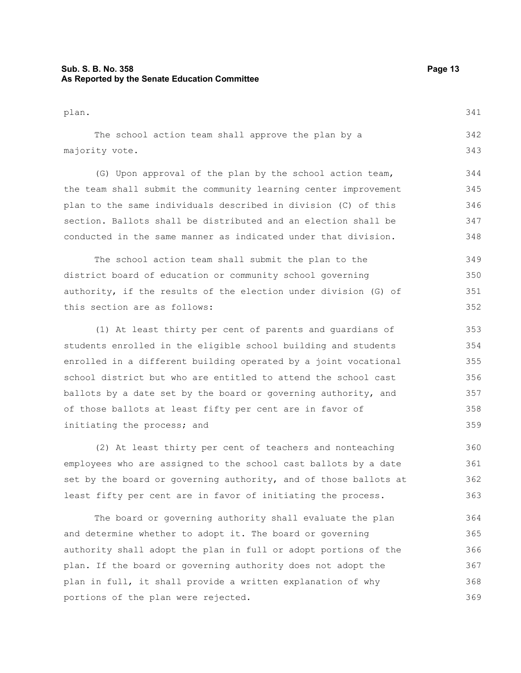### **Sub. S. B. No. 358 Page 13 As Reported by the Senate Education Committee**

plan. The school action team shall approve the plan by a majority vote. (G) Upon approval of the plan by the school action team, the team shall submit the community learning center improvement plan to the same individuals described in division (C) of this section. Ballots shall be distributed and an election shall be conducted in the same manner as indicated under that division. The school action team shall submit the plan to the 341 342 343 344 345 346 347 348 349

district board of education or community school governing authority, if the results of the election under division (G) of this section are as follows: 350 351 352

(1) At least thirty per cent of parents and guardians of students enrolled in the eligible school building and students enrolled in a different building operated by a joint vocational school district but who are entitled to attend the school cast ballots by a date set by the board or governing authority, and of those ballots at least fifty per cent are in favor of initiating the process; and

(2) At least thirty per cent of teachers and nonteaching employees who are assigned to the school cast ballots by a date set by the board or governing authority, and of those ballots at least fifty per cent are in favor of initiating the process.

The board or governing authority shall evaluate the plan and determine whether to adopt it. The board or governing authority shall adopt the plan in full or adopt portions of the plan. If the board or governing authority does not adopt the plan in full, it shall provide a written explanation of why portions of the plan were rejected. 364 365 366 367 368 369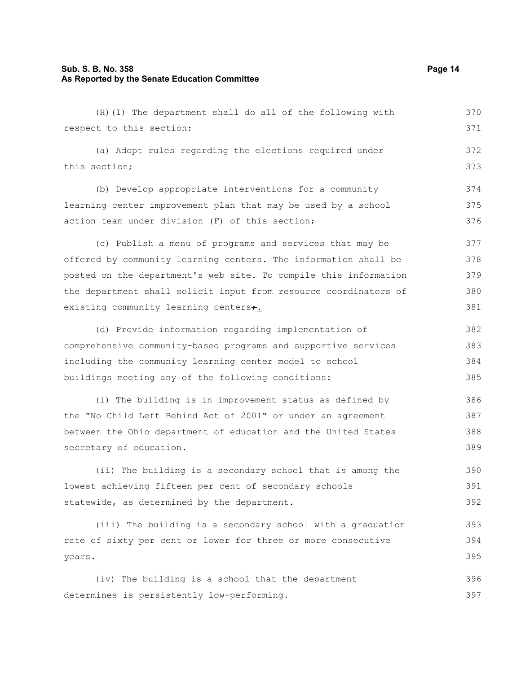#### **Sub. S. B. No. 358 Page 14 As Reported by the Senate Education Committee**

(H)(1) The department shall do all of the following with respect to this section: (a) Adopt rules regarding the elections required under this section; (b) Develop appropriate interventions for a community learning center improvement plan that may be used by a school action team under division (F) of this section; (c) Publish a menu of programs and services that may be offered by community learning centers. The information shall be posted on the department's web site. To compile this information the department shall solicit input from resource coordinators of existing community learning centers+. (d) Provide information regarding implementation of comprehensive community-based programs and supportive services including the community learning center model to school buildings meeting any of the following conditions: (i) The building is in improvement status as defined by the "No Child Left Behind Act of 2001" or under an agreement between the Ohio department of education and the United States secretary of education. (ii) The building is a secondary school that is among the lowest achieving fifteen per cent of secondary schools statewide, as determined by the department. (iii) The building is a secondary school with a graduation rate of sixty per cent or lower for three or more consecutive years. 370 371 372 373 374 375 376 377 378 379 380 381 382 383 384 385 386 387 388 389 390 391 392 393 394 395

(iv) The building is a school that the department determines is persistently low-performing. 396 397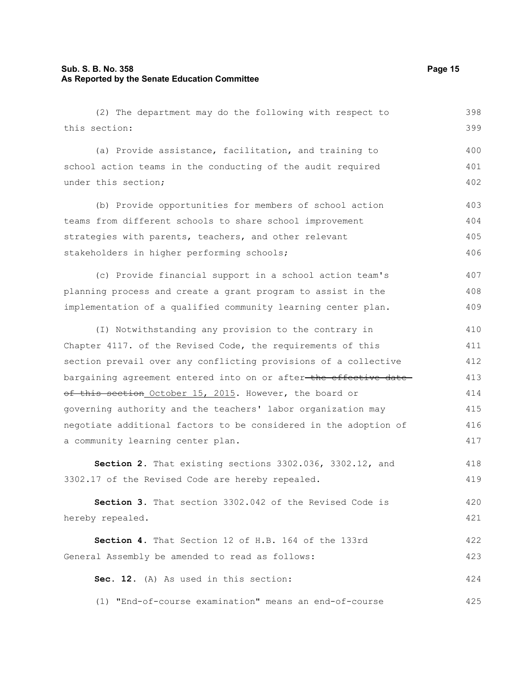### **Sub. S. B. No. 358 Page 15 As Reported by the Senate Education Committee**

(2) The department may do the following with respect to this section: (a) Provide assistance, facilitation, and training to school action teams in the conducting of the audit required under this section; (b) Provide opportunities for members of school action teams from different schools to share school improvement strategies with parents, teachers, and other relevant stakeholders in higher performing schools; (c) Provide financial support in a school action team's planning process and create a grant program to assist in the implementation of a qualified community learning center plan. (I) Notwithstanding any provision to the contrary in Chapter 4117. of the Revised Code, the requirements of this section prevail over any conflicting provisions of a collective bargaining agreement entered into on or after-the effective dateof this section October 15, 2015. However, the board or governing authority and the teachers' labor organization may negotiate additional factors to be considered in the adoption of a community learning center plan. **Section 2.** That existing sections 3302.036, 3302.12, and 3302.17 of the Revised Code are hereby repealed. **Section 3.** That section 3302.042 of the Revised Code is hereby repealed. **Section 4.** That Section 12 of H.B. 164 of the 133rd General Assembly be amended to read as follows: **Sec. 12.** (A) As used in this section: (1) "End-of-course examination" means an end-of-course 398 399 400 401 402 403 404 405 406 407 408 409 410 411 412 413 414 415 416 417 418 419 420 421 422 423 424 425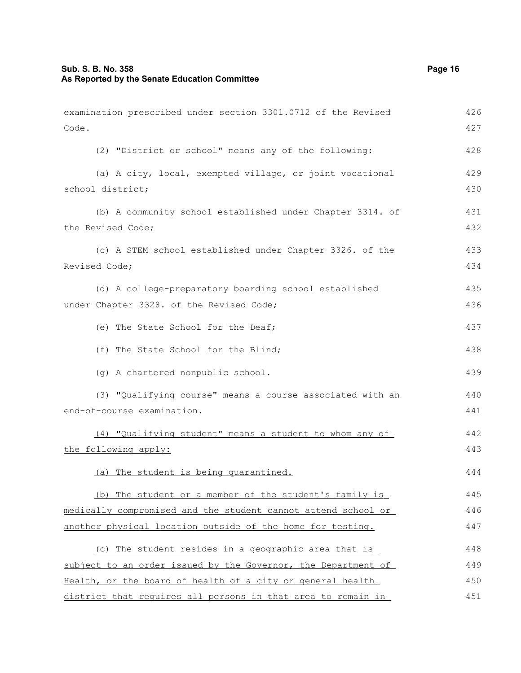| examination prescribed under section 3301.0712 of the Revised | 426 |
|---------------------------------------------------------------|-----|
| Code.                                                         | 427 |
| (2) "District or school" means any of the following:          | 428 |
| (a) A city, local, exempted village, or joint vocational      | 429 |
| school district;                                              | 430 |
| (b) A community school established under Chapter 3314. of     | 431 |
| the Revised Code;                                             | 432 |
| (c) A STEM school established under Chapter 3326. of the      | 433 |
| Revised Code;                                                 | 434 |
| (d) A college-preparatory boarding school established         | 435 |
| under Chapter 3328. of the Revised Code;                      | 436 |
| (e) The State School for the Deaf;                            | 437 |
| (f) The State School for the Blind;                           | 438 |
| (g) A chartered nonpublic school.                             | 439 |
| (3) "Qualifying course" means a course associated with an     | 440 |
| end-of-course examination.                                    | 441 |
| (4) "Qualifying student" means a student to whom any of       | 442 |
| the following apply:                                          | 443 |
| (a) The student is being quarantined.                         | 444 |
| (b) The student or a member of the student's family is        | 445 |
| medically compromised and the student cannot attend school or | 446 |
| another physical location outside of the home for testing.    | 447 |
| (c) The student resides in a geographic area that is          | 448 |
| subject to an order issued by the Governor, the Department of | 449 |
| Health, or the board of health of a city or general health    | 450 |
| district that requires all persons in that area to remain in  | 451 |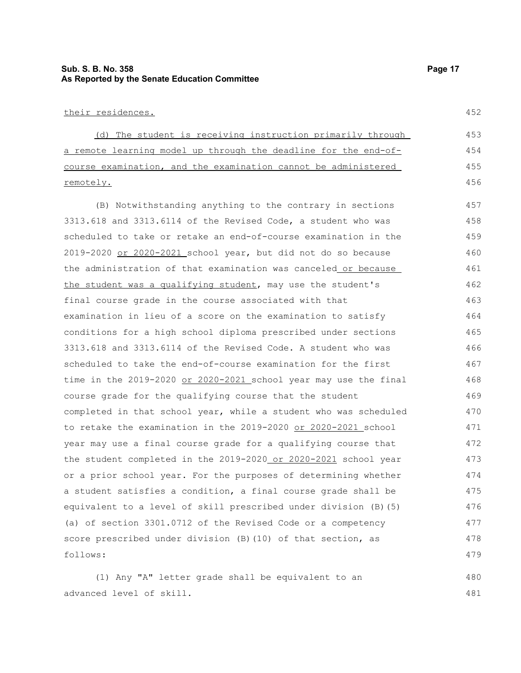### **Sub. S. B. No. 358 Page 17 As Reported by the Senate Education Committee**

#### their residences.

 (d) The student is receiving instruction primarily through a remote learning model up through the deadline for the end-ofcourse examination, and the examination cannot be administered remotely. 453 454 455 456

(B) Notwithstanding anything to the contrary in sections 3313.618 and 3313.6114 of the Revised Code, a student who was scheduled to take or retake an end-of-course examination in the 2019-2020 or 2020-2021 school year, but did not do so because the administration of that examination was canceled or because the student was a qualifying student, may use the student's final course grade in the course associated with that examination in lieu of a score on the examination to satisfy conditions for a high school diploma prescribed under sections 3313.618 and 3313.6114 of the Revised Code. A student who was scheduled to take the end-of-course examination for the first time in the 2019-2020 or 2020-2021 school year may use the final course grade for the qualifying course that the student completed in that school year, while a student who was scheduled to retake the examination in the 2019-2020 or 2020-2021 school year may use a final course grade for a qualifying course that the student completed in the 2019-2020 or 2020-2021 school year or a prior school year. For the purposes of determining whether a student satisfies a condition, a final course grade shall be equivalent to a level of skill prescribed under division (B)(5) (a) of section 3301.0712 of the Revised Code or a competency score prescribed under division (B)(10) of that section, as follows: 457 458 459 460 461 462 463 464 465 466 467 468 469 470 471 472 473 474 475 476 477 478 479

(1) Any "A" letter grade shall be equivalent to an advanced level of skill. 480 481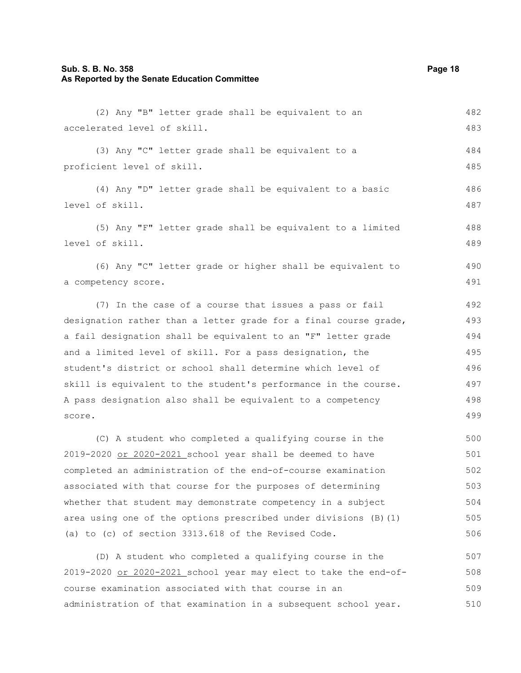# **Sub. S. B. No. 358** Page 18 **As Reported by the Senate Education Committee**

| (2) Any "B" letter grade shall be equivalent to an               | 482 |
|------------------------------------------------------------------|-----|
| accelerated level of skill.                                      | 483 |
| (3) Any "C" letter grade shall be equivalent to a                | 484 |
| proficient level of skill.                                       | 485 |
| (4) Any "D" letter grade shall be equivalent to a basic          | 486 |
| level of skill.                                                  | 487 |
| (5) Any "F" letter grade shall be equivalent to a limited        | 488 |
| level of skill.                                                  | 489 |
| (6) Any "C" letter grade or higher shall be equivalent to        | 490 |
| a competency score.                                              | 491 |
| (7) In the case of a course that issues a pass or fail           | 492 |
| designation rather than a letter grade for a final course grade, | 493 |
| a fail designation shall be equivalent to an "F" letter grade    | 494 |
| and a limited level of skill. For a pass designation, the        | 495 |
| student's district or school shall determine which level of      | 496 |
| skill is equivalent to the student's performance in the course.  | 497 |
| A pass designation also shall be equivalent to a competency      | 498 |
| score.                                                           | 499 |
| (C) A student who completed a qualifying course in the           | 500 |
| 2019-2020 or 2020-2021 school year shall be deemed to have       | 501 |
| completed an administration of the end-of-course examination     | 502 |
| associated with that course for the purposes of determining      | 503 |
| whether that student may demonstrate competency in a subject     | 504 |
| area using one of the options prescribed under divisions (B) (1) | 505 |
| (a) to (c) of section 3313.618 of the Revised Code.              | 506 |
| (D) A student who completed a qualifying course in the           | 507 |
| 2019-2020 or 2020-2021 school year may elect to take the end-of- | 508 |
| course examination associated with that course in an             | 509 |
| administration of that examination in a subsequent school year.  | 510 |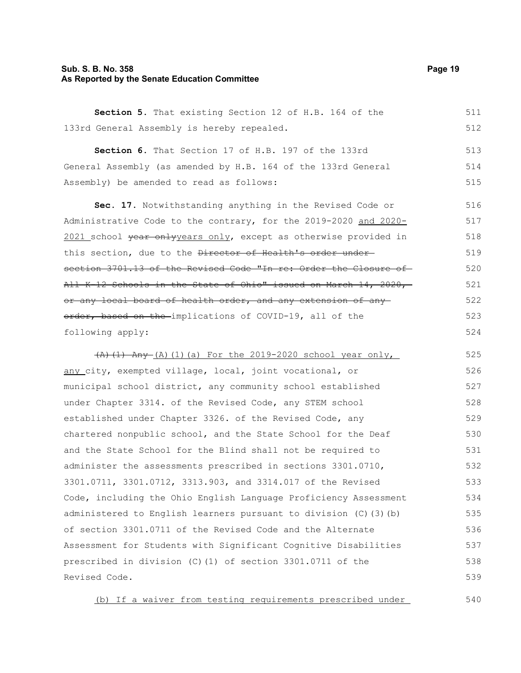#### **Sub. S. B. No. 358 Page 19 As Reported by the Senate Education Committee**

**Section 5.** That existing Section 12 of H.B. 164 of the 133rd General Assembly is hereby repealed. 511 512

**Section 6.** That Section 17 of H.B. 197 of the 133rd General Assembly (as amended by H.B. 164 of the 133rd General Assembly) be amended to read as follows: 513 514 515

**Sec. 17.** Notwithstanding anything in the Revised Code or Administrative Code to the contrary, for the 2019-2020 and 2020- 2021 school vear onlyyears only, except as otherwise provided in this section, due to the Director of Health's order undersection 3701.13 of the Revised Code "In re: Order the Closure of-All K-12 Schools in the State of Ohio" issued on March 14, 2020, or any local board of health order, and any extension of any order, based on the implications of COVID-19, all of the following apply: 516 517 518 519 520 521 522 523 524

 $(A)$  (1) Any  $(A)$  (1)(a) For the 2019-2020 school year only, any city, exempted village, local, joint vocational, or municipal school district, any community school established under Chapter 3314. of the Revised Code, any STEM school established under Chapter 3326. of the Revised Code, any chartered nonpublic school, and the State School for the Deaf and the State School for the Blind shall not be required to administer the assessments prescribed in sections 3301.0710, 3301.0711, 3301.0712, 3313.903, and 3314.017 of the Revised Code, including the Ohio English Language Proficiency Assessment administered to English learners pursuant to division (C)(3)(b) of section 3301.0711 of the Revised Code and the Alternate Assessment for Students with Significant Cognitive Disabilities prescribed in division (C)(1) of section 3301.0711 of the Revised Code. 525 526 527 528 529 530 531 532 533 534 535 536 537 538 539

(b) If a waiver from testing requirements prescribed under 540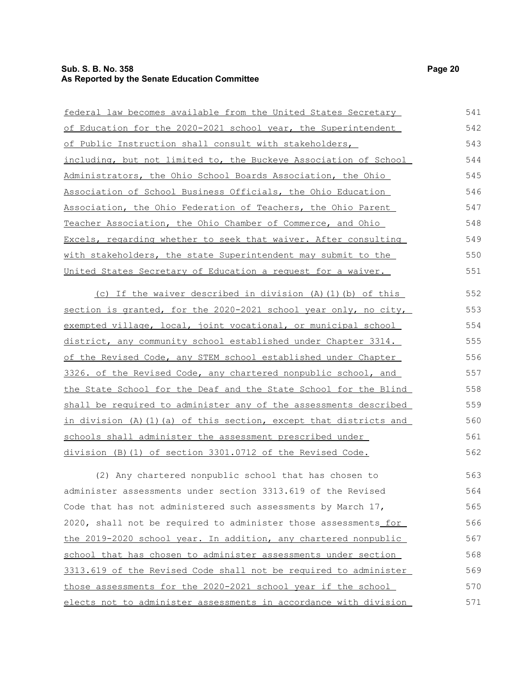#### **Sub. S. B. No. 358 Page 20 As Reported by the Senate Education Committee**

| federal law becomes available from the United States Secretary     | 541 |
|--------------------------------------------------------------------|-----|
| of Education for the 2020-2021 school year, the Superintendent     | 542 |
| of Public Instruction shall consult with stakeholders,             | 543 |
| including, but not limited to, the Buckeye Association of School   | 544 |
| Administrators, the Ohio School Boards Association, the Ohio       | 545 |
| Association of School Business Officials, the Ohio Education       | 546 |
| Association, the Ohio Federation of Teachers, the Ohio Parent      | 547 |
| Teacher Association, the Ohio Chamber of Commerce, and Ohio        | 548 |
| Excels, regarding whether to seek that waiver. After consulting    | 549 |
| with stakeholders, the state Superintendent may submit to the      | 550 |
| United States Secretary of Education a request for a waiver.       | 551 |
| (c) If the waiver described in division (A) (1) (b) of this        | 552 |
| section is granted, for the 2020-2021 school year only, no city,   | 553 |
| exempted village, local, joint vocational, or municipal school     | 554 |
| district, any community school established under Chapter 3314.     | 555 |
| of the Revised Code, any STEM school established under Chapter     | 556 |
| 3326. of the Revised Code, any chartered nonpublic school, and     | 557 |
| the State School for the Deaf and the State School for the Blind   | 558 |
| shall be required to administer any of the assessments described   | 559 |
| in division (A) (1) (a) of this section, except that districts and | 560 |
| schools shall administer the assessment prescribed under           | 561 |
| division (B) (1) of section 3301.0712 of the Revised Code.         | 562 |
| (2) Any chartered nonpublic school that has chosen to              | 563 |
|                                                                    |     |

administer assessments under section 3313.619 of the Revised Code that has not administered such assessments by March 17, 2020, shall not be required to administer those assessments for the 2019-2020 school year. In addition, any chartered nonpublic school that has chosen to administer assessments under section 3313.619 of the Revised Code shall not be required to administer those assessments for the 2020-2021 school year if the school elects not to administer assessments in accordance with division 564 565 566 567 568 569 570 571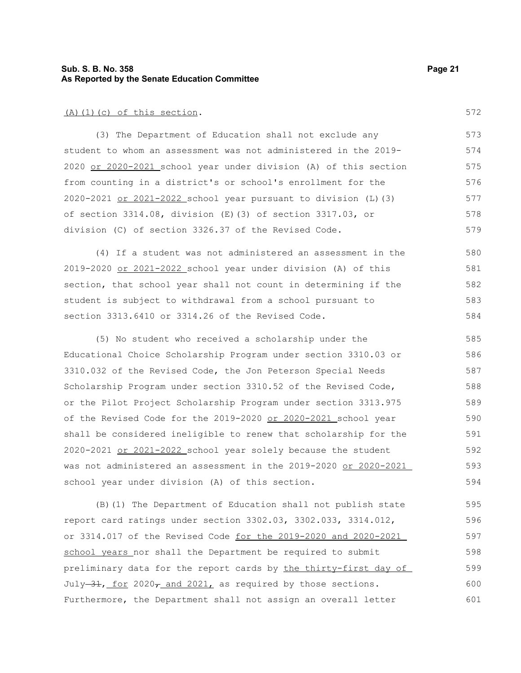#### **Sub. S. B. No. 358 Page 21 As Reported by the Senate Education Committee**

#### (A)(1)(c) of this section.

(3) The Department of Education shall not exclude any student to whom an assessment was not administered in the 2019- 2020 or 2020-2021 school year under division (A) of this section from counting in a district's or school's enrollment for the 2020-2021 or 2021-2022 school year pursuant to division (L)(3) of section 3314.08, division (E)(3) of section 3317.03, or division (C) of section 3326.37 of the Revised Code. 573 574 575 576 577 578 579

(4) If a student was not administered an assessment in the 2019-2020 or 2021-2022 school year under division (A) of this section, that school year shall not count in determining if the student is subject to withdrawal from a school pursuant to section 3313.6410 or 3314.26 of the Revised Code. 580 581 582 583 584

(5) No student who received a scholarship under the Educational Choice Scholarship Program under section 3310.03 or 3310.032 of the Revised Code, the Jon Peterson Special Needs Scholarship Program under section 3310.52 of the Revised Code, or the Pilot Project Scholarship Program under section 3313.975 of the Revised Code for the 2019-2020 or 2020-2021 school year shall be considered ineligible to renew that scholarship for the 2020-2021 or 2021-2022 school year solely because the student was not administered an assessment in the 2019-2020 or 2020-2021 school year under division (A) of this section. 585 586 587 588 589 590 591 592 593 594

(B)(1) The Department of Education shall not publish state report card ratings under section 3302.03, 3302.033, 3314.012, or 3314.017 of the Revised Code for the 2019-2020 and 2020-2021 school years nor shall the Department be required to submit preliminary data for the report cards by the thirty-first day of July  $-31$ , for 2020, and 2021, as required by those sections. Furthermore, the Department shall not assign an overall letter 595 596 597 598 599 600 601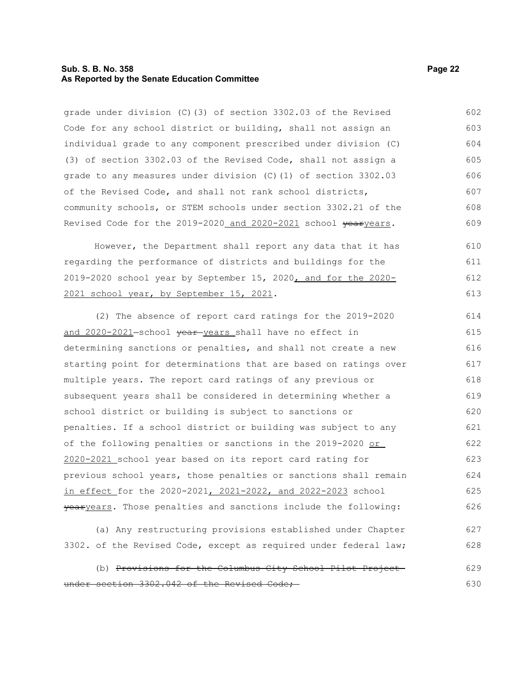#### **Sub. S. B. No. 358 Page 22 As Reported by the Senate Education Committee**

grade under division (C)(3) of section 3302.03 of the Revised Code for any school district or building, shall not assign an individual grade to any component prescribed under division (C) (3) of section 3302.03 of the Revised Code, shall not assign a grade to any measures under division (C)(1) of section 3302.03 of the Revised Code, and shall not rank school districts, community schools, or STEM schools under section 3302.21 of the Revised Code for the 2019-2020 and 2020-2021 school yearyears. 602 603 604 605 606 607 608 609

However, the Department shall report any data that it has regarding the performance of districts and buildings for the 2019-2020 school year by September 15, 2020, and for the 2020- 2021 school year, by September 15, 2021. 610 611 612 613

(2) The absence of report card ratings for the 2019-2020 and 2020-2021-school vear-years shall have no effect in determining sanctions or penalties, and shall not create a new starting point for determinations that are based on ratings over multiple years. The report card ratings of any previous or subsequent years shall be considered in determining whether a school district or building is subject to sanctions or penalties. If a school district or building was subject to any of the following penalties or sanctions in the 2019-2020 or 2020-2021 school year based on its report card rating for previous school years, those penalties or sanctions shall remain in effect for the 2020-2021, 2021-2022, and 2022-2023 school yearyears. Those penalties and sanctions include the following: 614 615 616 617 618 619 620 621 622 623 624 625 626

(a) Any restructuring provisions established under Chapter 3302. of the Revised Code, except as required under federal law; 627 628

(b) Provisions for the Columbus City School Pilot Project under section 3302.042 of the Revised Code; 629 630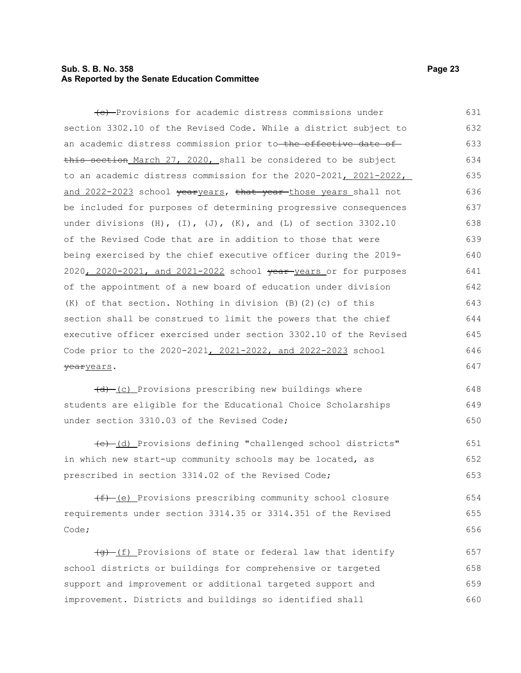### **Sub. S. B. No. 358 Page 23 As Reported by the Senate Education Committee**

| (e) Provisions for academic distress commissions under                      | 631 |
|-----------------------------------------------------------------------------|-----|
| section 3302.10 of the Revised Code. While a district subject to            | 632 |
| an academic distress commission prior to <del>-the effective date of</del>  | 633 |
| this section_March 27, 2020, shall be considered to be subject              | 634 |
| to an academic distress commission for the 2020-2021, 2021-2022,            | 635 |
| and 2022-2023 school <del>year</del> years, that year-those years shall not | 636 |
| be included for purposes of determining progressive consequences            | 637 |
| under divisions (H), $(I)$ , $(J)$ , $(K)$ , and $(L)$ of section 3302.10   | 638 |
| of the Revised Code that are in addition to those that were                 | 639 |
| being exercised by the chief executive officer during the 2019-             | 640 |
| 2020, 2020-2021, and 2021-2022 school vear years or for purposes            | 641 |
| of the appointment of a new board of education under division               | 642 |
| (K) of that section. Nothing in division (B) (2) (c) of this                | 643 |
| section shall be construed to limit the powers that the chief               | 644 |
| executive officer exercised under section 3302.10 of the Revised            | 645 |
| Code prior to the 2020-2021, 2021-2022, and 2022-2023 school                | 646 |
| <del>year</del> years.                                                      | 647 |
| <del>(d)</del> (c) Provisions prescribing new buildings where               | 648 |

(d) (c) Provisions prescribing new buildings where students are eligible for the Educational Choice Scholarships under section 3310.03 of the Revised Code; 649 650

(e) (d) Provisions defining "challenged school districts" in which new start-up community schools may be located, as prescribed in section 3314.02 of the Revised Code; 651 652 653

 $(f)$  (e) Provisions prescribing community school closure requirements under section 3314.35 or 3314.351 of the Revised Code; 654 655 656

(f) Provisions of state or federal law that identify school districts or buildings for comprehensive or targeted support and improvement or additional targeted support and improvement. Districts and buildings so identified shall 657 658 659 660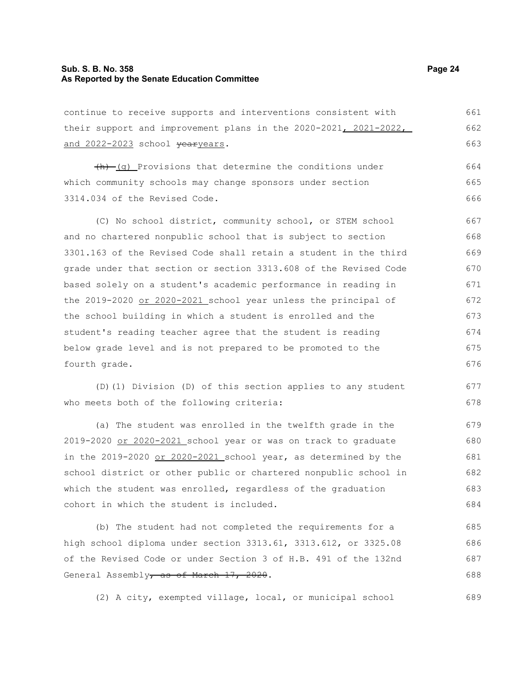#### **Sub. S. B. No. 358 Page 24 As Reported by the Senate Education Committee**

continue to receive supports and interventions consistent with their support and improvement plans in the 2020-2021, 2021-2022, and 2022-2023 school vearyears. 661 662 663

 $+h$  (q) Provisions that determine the conditions under which community schools may change sponsors under section 3314.034 of the Revised Code. 664 665 666

(C) No school district, community school, or STEM school and no chartered nonpublic school that is subject to section 3301.163 of the Revised Code shall retain a student in the third grade under that section or section 3313.608 of the Revised Code based solely on a student's academic performance in reading in the 2019-2020 or 2020-2021 school year unless the principal of the school building in which a student is enrolled and the student's reading teacher agree that the student is reading below grade level and is not prepared to be promoted to the fourth grade. 667 668 669 670 671 672 673 674 675 676

(D)(1) Division (D) of this section applies to any student who meets both of the following criteria:

(a) The student was enrolled in the twelfth grade in the 2019-2020 or 2020-2021 school year or was on track to graduate in the  $2019-2020$  or  $2020-2021$  school year, as determined by the school district or other public or chartered nonpublic school in which the student was enrolled, regardless of the graduation cohort in which the student is included.

(b) The student had not completed the requirements for a high school diploma under section 3313.61, 3313.612, or 3325.08 of the Revised Code or under Section 3 of H.B. 491 of the 132nd General Assembly, as of March 17, 2020. 685 686 687 688

(2) A city, exempted village, local, or municipal school

677 678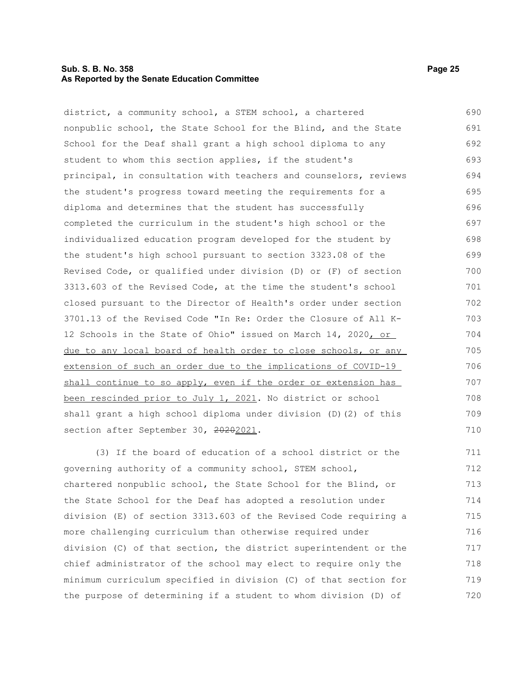#### **Sub. S. B. No. 358 Page 25 As Reported by the Senate Education Committee**

district, a community school, a STEM school, a chartered nonpublic school, the State School for the Blind, and the State School for the Deaf shall grant a high school diploma to any student to whom this section applies, if the student's principal, in consultation with teachers and counselors, reviews the student's progress toward meeting the requirements for a diploma and determines that the student has successfully completed the curriculum in the student's high school or the individualized education program developed for the student by the student's high school pursuant to section 3323.08 of the Revised Code, or qualified under division (D) or (F) of section 3313.603 of the Revised Code, at the time the student's school closed pursuant to the Director of Health's order under section 3701.13 of the Revised Code "In Re: Order the Closure of All K-12 Schools in the State of Ohio" issued on March 14, 2020, or due to any local board of health order to close schools, or any extension of such an order due to the implications of COVID-19 shall continue to so apply, even if the order or extension has been rescinded prior to July 1, 2021. No district or school shall grant a high school diploma under division (D)(2) of this section after September 30, 20202021. 690 691 692 693 694 695 696 697 698 699 700 701 702 703 704 705 706 707 708 709 710

(3) If the board of education of a school district or the governing authority of a community school, STEM school, chartered nonpublic school, the State School for the Blind, or the State School for the Deaf has adopted a resolution under division (E) of section 3313.603 of the Revised Code requiring a more challenging curriculum than otherwise required under division (C) of that section, the district superintendent or the chief administrator of the school may elect to require only the minimum curriculum specified in division (C) of that section for the purpose of determining if a student to whom division (D) of 711 712 713 714 715 716 717 718 719 720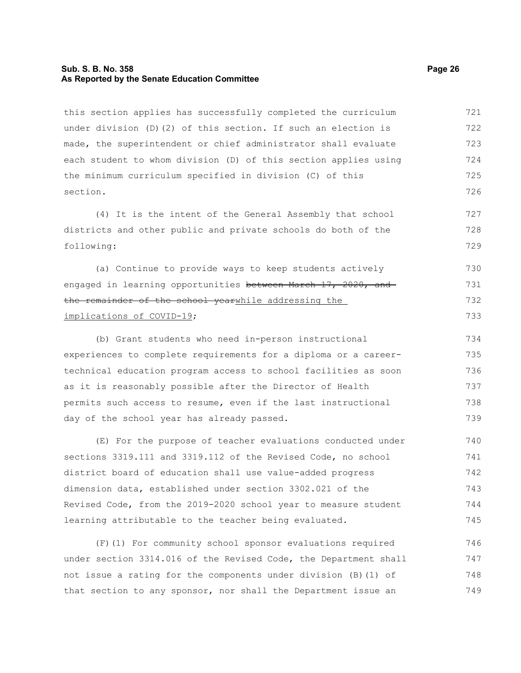#### **Sub. S. B. No. 358 Page 26 As Reported by the Senate Education Committee**

this section applies has successfully completed the curriculum under division (D)(2) of this section. If such an election is made, the superintendent or chief administrator shall evaluate each student to whom division (D) of this section applies using the minimum curriculum specified in division (C) of this section. 721 722 723 724 725 726

(4) It is the intent of the General Assembly that school districts and other public and private schools do both of the following:

(a) Continue to provide ways to keep students actively engaged in learning opportunities between March 17, 2020, and the remainder of the school yearwhile addressing the implications of COVID-19; 730 731 732 733

(b) Grant students who need in-person instructional experiences to complete requirements for a diploma or a careertechnical education program access to school facilities as soon as it is reasonably possible after the Director of Health permits such access to resume, even if the last instructional day of the school year has already passed. 734 735 736 737 738 739

(E) For the purpose of teacher evaluations conducted under sections 3319.111 and 3319.112 of the Revised Code, no school district board of education shall use value-added progress dimension data, established under section 3302.021 of the Revised Code, from the 2019-2020 school year to measure student learning attributable to the teacher being evaluated. 740 741 742 743 744 745

(F)(1) For community school sponsor evaluations required under section 3314.016 of the Revised Code, the Department shall not issue a rating for the components under division (B)(1) of that section to any sponsor, nor shall the Department issue an 746 747 748 749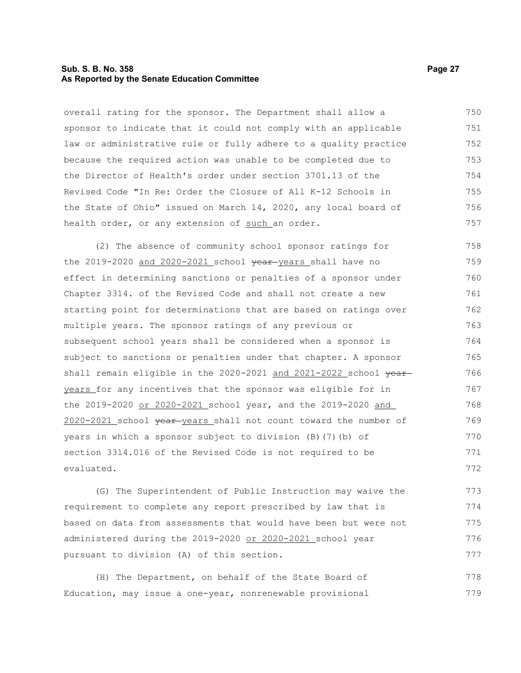#### **Sub. S. B. No. 358 Page 27 As Reported by the Senate Education Committee**

overall rating for the sponsor. The Department shall allow a sponsor to indicate that it could not comply with an applicable law or administrative rule or fully adhere to a quality practice because the required action was unable to be completed due to the Director of Health's order under section 3701.13 of the Revised Code "In Re: Order the Closure of All K-12 Schools in the State of Ohio" issued on March 14, 2020, any local board of health order, or any extension of such an order. 750 751 752 753 754 755 756 757

(2) The absence of community school sponsor ratings for the 2019-2020 and 2020-2021 school year-years shall have no effect in determining sanctions or penalties of a sponsor under Chapter 3314. of the Revised Code and shall not create a new starting point for determinations that are based on ratings over multiple years. The sponsor ratings of any previous or subsequent school years shall be considered when a sponsor is subject to sanctions or penalties under that chapter. A sponsor shall remain eligible in the 2020-2021 and 2021-2022 school year years for any incentives that the sponsor was eligible for in the 2019-2020 or 2020-2021 school year, and the 2019-2020 and 2020-2021 school year years shall not count toward the number of years in which a sponsor subject to division (B)(7)(b) of section 3314.016 of the Revised Code is not required to be evaluated. 758 759 760 761 762 763 764 765 766 767 768 769 770 771 772

(G) The Superintendent of Public Instruction may waive the requirement to complete any report prescribed by law that is based on data from assessments that would have been but were not administered during the 2019-2020 or 2020-2021 school year pursuant to division (A) of this section. 773 774 775 776 777

(H) The Department, on behalf of the State Board of Education, may issue a one-year, nonrenewable provisional 778 779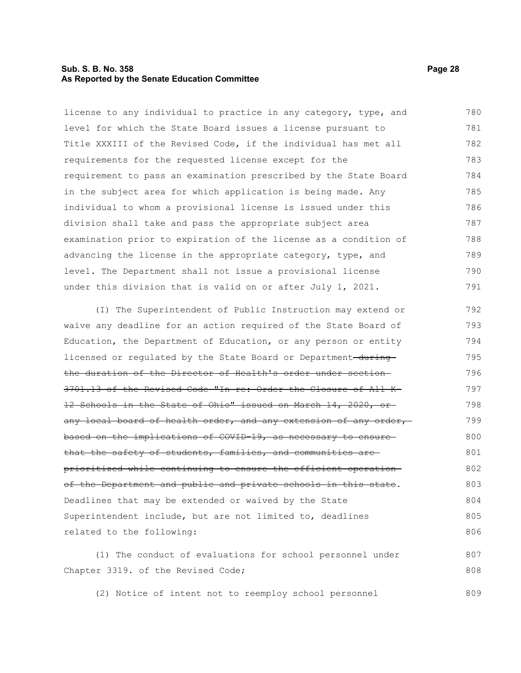#### **Sub. S. B. No. 358 Page 28 As Reported by the Senate Education Committee**

license to any individual to practice in any category, type, and level for which the State Board issues a license pursuant to Title XXXIII of the Revised Code, if the individual has met all requirements for the requested license except for the requirement to pass an examination prescribed by the State Board in the subject area for which application is being made. Any individual to whom a provisional license is issued under this division shall take and pass the appropriate subject area examination prior to expiration of the license as a condition of advancing the license in the appropriate category, type, and level. The Department shall not issue a provisional license under this division that is valid on or after July 1, 2021. 780 781 782 783 784 785 786 787 788 789 790 791

(I) The Superintendent of Public Instruction may extend or waive any deadline for an action required of the State Board of Education, the Department of Education, or any person or entity licensed or regulated by the State Board or Department-duringthe duration of the Director of Health's order under section 3701.13 of the Revised Code "In re: Order the Closure of All K-12 Schools in the State of Ohio" issued on March 14, 2020, or any local board of health order, and any extension of any order, based on the implications of COVID-19, as necessary to ensure that the safety of students, families, and communities are prioritized while continuing to ensure the efficient operation of the Department and public and private schools in this state. Deadlines that may be extended or waived by the State Superintendent include, but are not limited to, deadlines related to the following: 792 793 794 795 796 797 798 799 800 801 802 803 804 805 806

(1) The conduct of evaluations for school personnel under Chapter 3319. of the Revised Code; 807 808

(2) Notice of intent not to reemploy school personnel 809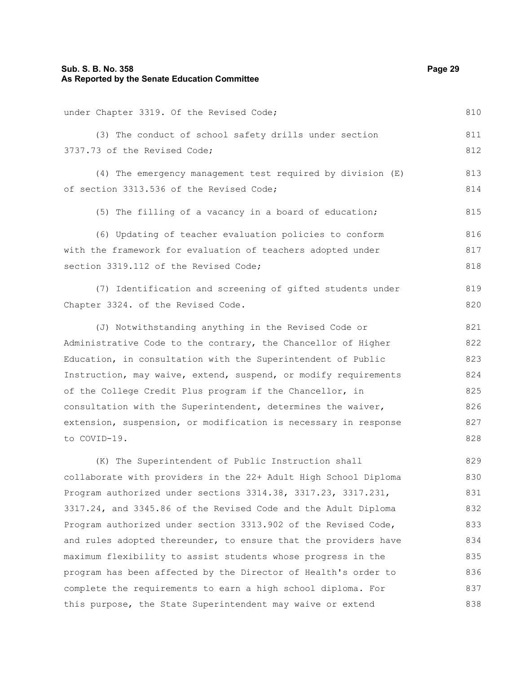#### **Sub. S. B. No. 358 Page 29 As Reported by the Senate Education Committee**

under Chapter 3319. Of the Revised Code; (3) The conduct of school safety drills under section 3737.73 of the Revised Code; (4) The emergency management test required by division (E) of section 3313.536 of the Revised Code; (5) The filling of a vacancy in a board of education; (6) Updating of teacher evaluation policies to conform with the framework for evaluation of teachers adopted under section 3319.112 of the Revised Code; (7) Identification and screening of gifted students under Chapter 3324. of the Revised Code. (J) Notwithstanding anything in the Revised Code or Administrative Code to the contrary, the Chancellor of Higher Education, in consultation with the Superintendent of Public Instruction, may waive, extend, suspend, or modify requirements of the College Credit Plus program if the Chancellor, in consultation with the Superintendent, determines the waiver, extension, suspension, or modification is necessary in response to COVID-19. (K) The Superintendent of Public Instruction shall collaborate with providers in the 22+ Adult High School Diploma Program authorized under sections 3314.38, 3317.23, 3317.231, 3317.24, and 3345.86 of the Revised Code and the Adult Diploma Program authorized under section 3313.902 of the Revised Code, and rules adopted thereunder, to ensure that the providers have maximum flexibility to assist students whose progress in the program has been affected by the Director of Health's order to complete the requirements to earn a high school diploma. For 810 811 812 813 814 815 816 817 818 819 820 821 822 823 824 825 826 827 828 829 830 831 832 833 834 835 836 837

this purpose, the State Superintendent may waive or extend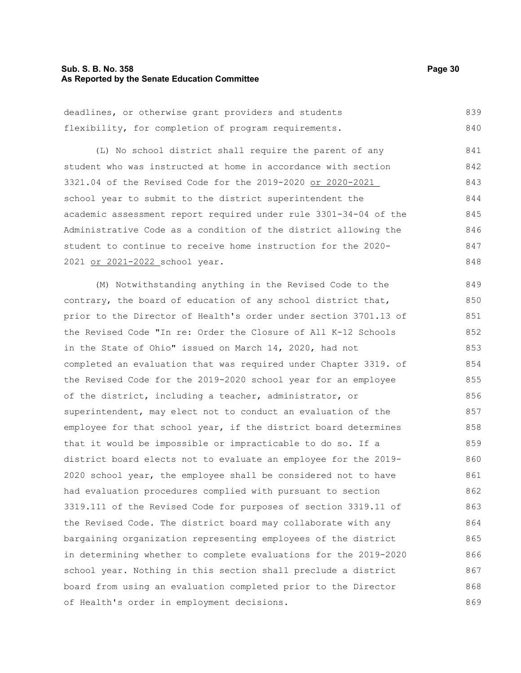#### **Sub. S. B. No. 358 Page 30 As Reported by the Senate Education Committee**

| deadlines, or otherwise grant providers and students |  |  |  | 839 |  |
|------------------------------------------------------|--|--|--|-----|--|
| flexibility, for completion of program requirements. |  |  |  | 840 |  |

(L) No school district shall require the parent of any student who was instructed at home in accordance with section 3321.04 of the Revised Code for the 2019-2020 or 2020-2021 school year to submit to the district superintendent the academic assessment report required under rule 3301-34-04 of the Administrative Code as a condition of the district allowing the student to continue to receive home instruction for the 2020- 2021 or 2021-2022 school year. 841 842 843 844 845 846 847 848

(M) Notwithstanding anything in the Revised Code to the contrary, the board of education of any school district that, prior to the Director of Health's order under section 3701.13 of the Revised Code "In re: Order the Closure of All K-12 Schools in the State of Ohio" issued on March 14, 2020, had not completed an evaluation that was required under Chapter 3319. of the Revised Code for the 2019-2020 school year for an employee of the district, including a teacher, administrator, or superintendent, may elect not to conduct an evaluation of the employee for that school year, if the district board determines that it would be impossible or impracticable to do so. If a district board elects not to evaluate an employee for the 2019- 2020 school year, the employee shall be considered not to have had evaluation procedures complied with pursuant to section 3319.111 of the Revised Code for purposes of section 3319.11 of the Revised Code. The district board may collaborate with any bargaining organization representing employees of the district in determining whether to complete evaluations for the 2019-2020 school year. Nothing in this section shall preclude a district board from using an evaluation completed prior to the Director of Health's order in employment decisions. 849 850 851 852 853 854 855 856 857 858 859 860 861 862 863 864 865 866 867 868 869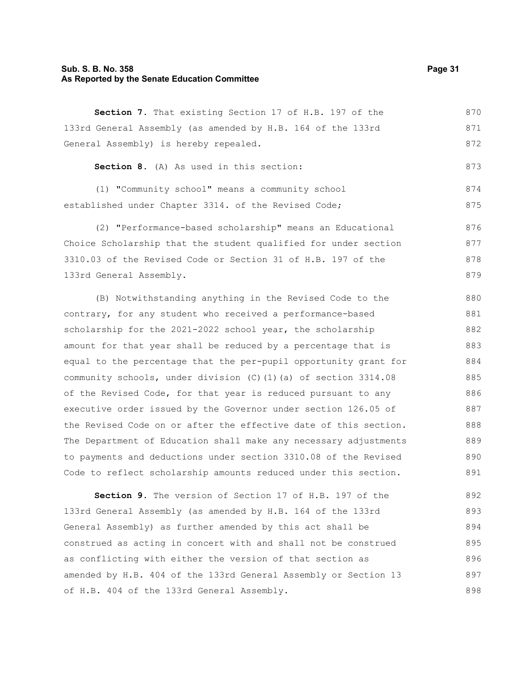#### **Sub. S. B. No. 358 Page 31 As Reported by the Senate Education Committee**

| Section 7. That existing Section 17 of H.B. 197 of the      | 870 |
|-------------------------------------------------------------|-----|
| 133rd General Assembly (as amended by H.B. 164 of the 133rd | 871 |
| General Assembly) is hereby repealed.                       | 872 |

**Section 8.** (A) As used in this section:

(1) "Community school" means a community school established under Chapter 3314. of the Revised Code; 874 875

(2) "Performance-based scholarship" means an Educational Choice Scholarship that the student qualified for under section 3310.03 of the Revised Code or Section 31 of H.B. 197 of the 133rd General Assembly. 876 877 878 879

(B) Notwithstanding anything in the Revised Code to the contrary, for any student who received a performance-based scholarship for the 2021-2022 school year, the scholarship amount for that year shall be reduced by a percentage that is equal to the percentage that the per-pupil opportunity grant for community schools, under division (C)(1)(a) of section 3314.08 of the Revised Code, for that year is reduced pursuant to any executive order issued by the Governor under section 126.05 of the Revised Code on or after the effective date of this section. The Department of Education shall make any necessary adjustments to payments and deductions under section 3310.08 of the Revised Code to reflect scholarship amounts reduced under this section. 880 881 882 883 884 885 886 887 888 889 890 891

**Section 9.** The version of Section 17 of H.B. 197 of the 133rd General Assembly (as amended by H.B. 164 of the 133rd General Assembly) as further amended by this act shall be construed as acting in concert with and shall not be construed as conflicting with either the version of that section as amended by H.B. 404 of the 133rd General Assembly or Section 13 of H.B. 404 of the 133rd General Assembly. 892 893 894 895 896 897 898